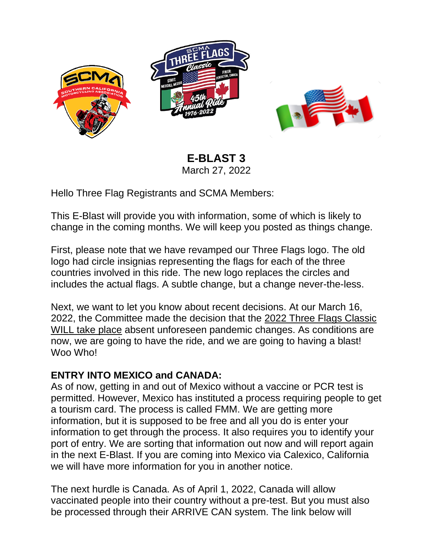



**E-BLAST 3** March 27, 2022

Hello Three Flag Registrants and SCMA Members:

This E-Blast will provide you with information, some of which is likely to change in the coming months. We will keep you posted as things change.

First, please note that we have revamped our Three Flags logo. The old logo had circle insignias representing the flags for each of the three countries involved in this ride. The new logo replaces the circles and includes the actual flags. A subtle change, but a change never-the-less.

Next, we want to let you know about recent decisions. At our March 16, 2022, the Committee made the decision that the 2022 Three Flags Classic WILL take place absent unforeseen pandemic changes. As conditions are now, we are going to have the ride, and we are going to having a blast! Woo Who!

## **ENTRY INTO MEXICO and CANADA:**

As of now, getting in and out of Mexico without a vaccine or PCR test is permitted. However, Mexico has instituted a process requiring people to get a tourism card. The process is called FMM. We are getting more information, but it is supposed to be free and all you do is enter your information to get through the process. It also requires you to identify your port of entry. We are sorting that information out now and will report again in the next E-Blast. If you are coming into Mexico via Calexico, California we will have more information for you in another notice.

The next hurdle is Canada. As of April 1, 2022, Canada will allow vaccinated people into their country without a pre-test. But you must also be processed through their ARRIVE CAN system. The link below will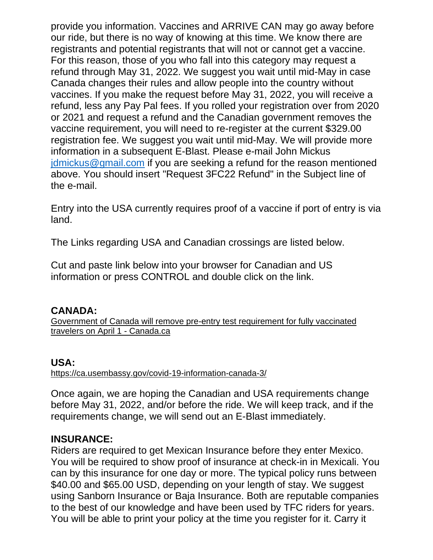provide you information. Vaccines and ARRIVE CAN may go away before our ride, but there is no way of knowing at this time. We know there are registrants and potential registrants that will not or cannot get a vaccine. For this reason, those of you who fall into this category may request a refund through May 31, 2022. We suggest you wait until mid-May in case Canada changes their rules and allow people into the country without vaccines. If you make the request before May 31, 2022, you will receive a refund, less any Pay Pal fees. If you rolled your registration over from 2020 or 2021 and request a refund and the Canadian government removes the vaccine requirement, you will need to re-register at the current \$329.00 registration fee. We suggest you wait until mid-May. We will provide more information in a subsequent E-Blast. Please e-mail John Mickus [jdmickus@gmail.com](mailto:jdmickus@gmail.com) if you are seeking a refund for the reason mentioned above. You should insert "Request 3FC22 Refund" in the Subject line of the e-mail.

Entry into the USA currently requires proof of a vaccine if port of entry is via land.

The Links regarding USA and Canadian crossings are listed below.

Cut and paste link below into your browser for Canadian and US information or press CONTROL and double click on the link.

## **CANADA:**

[Government of Canada will remove pre-entry test requirement for fully vaccinated](https://www.canada.ca/en/public-health/news/2022/03/government-of-canada-will-remove-pre-entry-test-requirement-for-fully-vaccinated-travellers-on-april-1.html)  travelers [on April 1 -](https://www.canada.ca/en/public-health/news/2022/03/government-of-canada-will-remove-pre-entry-test-requirement-for-fully-vaccinated-travellers-on-april-1.html) Canada.ca

## **USA:**

<https://ca.usembassy.gov/covid-19-information-canada-3/>

Once again, we are hoping the Canadian and USA requirements change before May 31, 2022, and/or before the ride. We will keep track, and if the requirements change, we will send out an E-Blast immediately.

## **INSURANCE:**

Riders are required to get Mexican Insurance before they enter Mexico. You will be required to show proof of insurance at check-in in Mexicali. You can by this insurance for one day or more. The typical policy runs between \$40.00 and \$65.00 USD, depending on your length of stay. We suggest using Sanborn Insurance or Baja Insurance. Both are reputable companies to the best of our knowledge and have been used by TFC riders for years. You will be able to print your policy at the time you register for it. Carry it